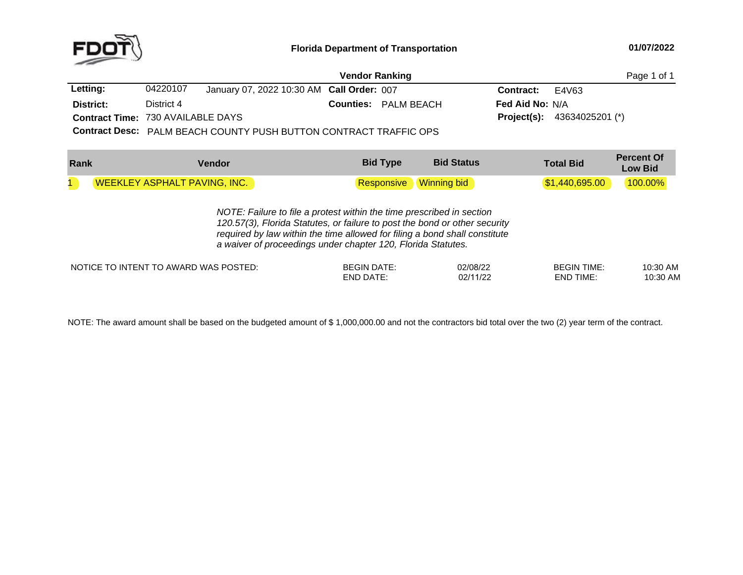

|                                          |            |                                                                          |                             | Page 1 of 1                    |                                      |
|------------------------------------------|------------|--------------------------------------------------------------------------|-----------------------------|--------------------------------|--------------------------------------|
| Letting:                                 | 04220107   | January 07, 2022 10:30 AM Call Order: 007                                |                             | <b>Contract:</b> $E4\sqrt{63}$ |                                      |
| District:                                | District 4 |                                                                          | <b>Counties: PALM BEACH</b> | <b>Fed Aid No: N/A</b>         |                                      |
| <b>Contract Time: 730 AVAILABLE DAYS</b> |            |                                                                          |                             |                                | <b>Project(s):</b> $43634025201$ (*) |
|                                          |            | <b>Contract Desc:</b> PALM BEACH COUNTY PUSH BUTTON CONTRACT TRAFFIC OPS |                             |                                |                                      |
|                                          |            |                                                                          |                             |                                |                                      |

**Percent Of LowBid Type Bid Status Bid Type Bid Total Bid Bid Externe** *Low Bid* **Externe** *Bid* **Externe** *Externe* 11 NEEKLEY ASPHALT PAVING, INC. Nesponsive Winning bid Nesponsive (Winning bid 31,440,695.00 100.00%) *NOTE: Failure to file <sup>a</sup> protest within the time prescribed in section 120.57(3), Florida Statutes, or failure to post the bond or other security required by law within the time allowed for filing <sup>a</sup> bond shall constitute a waiver of proceedings under chapter 120, Florida Statutes.*

| NOTICE TO INTENT TO AWARD WAS POSTED: | <b>BEGIN DATE:</b> | 02/08/22 | <b>BEGIN TIME</b> | 10:30 AM |
|---------------------------------------|--------------------|----------|-------------------|----------|
|                                       | END DATE.          | 02/11/22 | END TIME:         | 0:30 AM  |
|                                       |                    |          |                   |          |

NOTE: The award amount shall be based on the budgeted amount of \$ 1,000,000.00 and not the contractors bid total over the two (2) year term of the contract.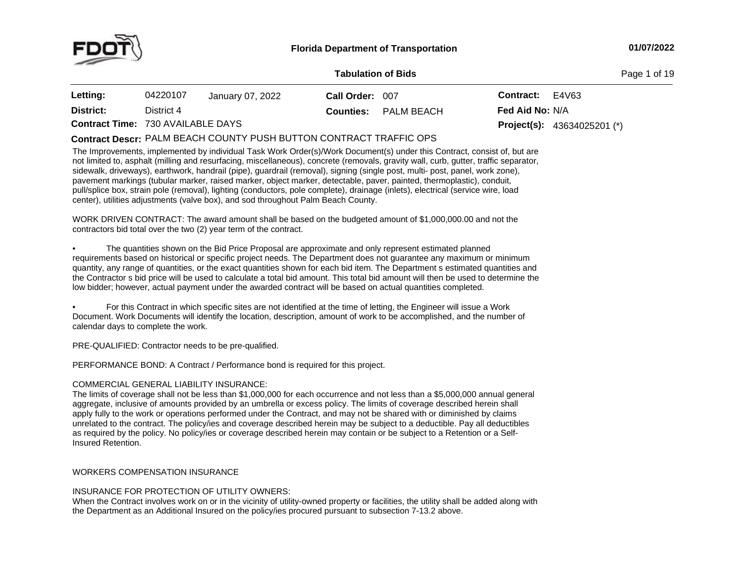

**Page 1 of 19** 

| Letting:                                 | 04220107   | January 07, 2022 | Call Order: 007  |            | <b>Contract:</b> $E4\sqrt{63}$ |                                      |
|------------------------------------------|------------|------------------|------------------|------------|--------------------------------|--------------------------------------|
| District:                                | District 4 |                  | <b>Counties:</b> | PALM BEACH | <b>Fed Aid No: N/A</b>         |                                      |
| <b>Contract Time: 730 AVAILABLE DAYS</b> |            |                  |                  |            |                                | <b>Project(s):</b> $43634025201$ (*) |

# PALM BEACH COUNTY PUSH BUTTON CONTRACT TRAFFIC OPS **Contract Descr:**

The Improvements, implemented by individual Task Work Order(s)/Work Document(s) under this Contract, consist of, but are not limited to, asphalt (milling and resurfacing, miscellaneous), concrete (removals, gravity wall, curb, gutter, traffic separator, sidewalk, driveways), earthwork, handrail (pipe), guardrail (removal), signing (single post, multi- post, panel, work zone), pavement markings (tubular marker, raised marker, object marker, detectable, paver, painted, thermoplastic), conduit, pull/splice box, strain pole (removal), lighting (conductors, pole complete), drainage (inlets), electrical (service wire, load center), utilities adjustments (valve box), and sod throughout Palm Beach County.

WORK DRIVEN CONTRACT: The award amount shall be based on the budgeted amount of \$1,000,000.00 and not the<br>contractors hid total aver the two (2) year term of the eastract. contractors bid total over the two (2) year term of the contract.

•• The quantities shown on the Bid Price Proposal are approximate and only represent estimated planned requirements based on historical or specific project needs. The Department does not guarantee any maximum or minimum<br>quantity, any range of quantities, or the exect quantities shown for each hid item. The Department a esti quantity, any range of quantities, or the exact quantities shown for each bid item. The Department <sup>s</sup> estimated quantities and the Contractor <sup>s</sup> bid price will be used to calculate <sup>a</sup> total bid amount. This total bid amount will then be used to determine the low bidder; however, actual payment under the awarded contract will be based on actual quantities completed.

• For this Contract in which specific sites are not identified at the time of letting, the Engineer will issue <sup>a</sup> Work Document. Work Documents will identify the location, description, amount of work to be accomplished, and the number of calendar days to complete the work.

PRE-QUALIFIED: Contractor needs to be pre-qualified.

PERFORMANCE BOND: <sup>A</sup> Contract / Performance bond is required for this project.

# COMMERCIAL GENERAL LIABILITY INSURANCE:

The limits of coverage shall not be less than \$1,000,000 for each occurrence and not less than <sup>a</sup> \$5,000,000 annual general aggregate, inclusive of amounts provided by an umbrella or excess policy. The limits of coverage described herein shall apply fully to the work or operations performed under the Contract, and may not be shared with or diminished by claims unrelated to the contract. The policy/ies and coverage described herein may be subject to <sup>a</sup> deductible. Pay all deductibles as required by the policy. No policy/ies or coverage described herein may contain or be subject to a Retention or a Self-<br>Insured Retention. Insured Retention.

# WORKERS COMPENSATION INSURANCE

# INSURANCE FOR PROTECTION OF UTILITY OWNERS:

When the Contract involves work on or in the vicinity of utility-owned property or facilities, the utility shall be added along with the Department as an Additional Insured on the policy/ies procured pursuant to subsection 7-13.2 above.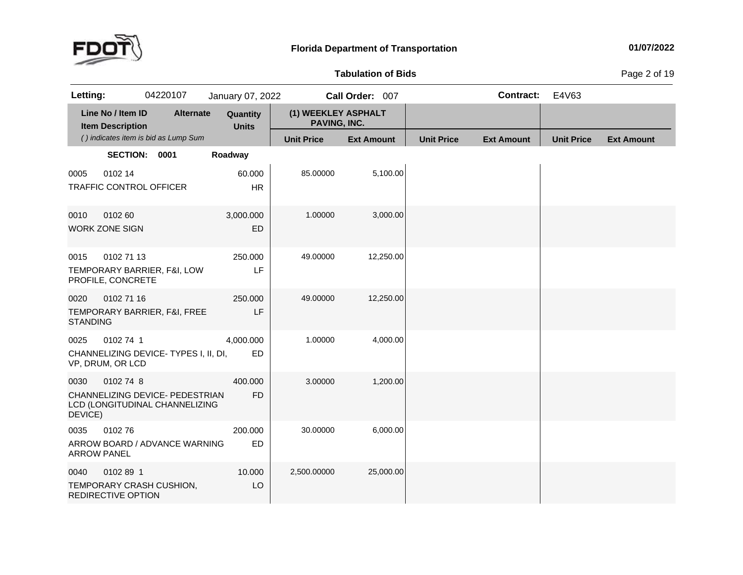

**of Bids** Page <sup>2</sup> of <sup>19</sup>

| Letting:                   |                                              | 04220107                                                          | January 07, 2022         |                                     | Call Order: 007   |                   | <b>Contract:</b>  | E4V63             |                   |
|----------------------------|----------------------------------------------|-------------------------------------------------------------------|--------------------------|-------------------------------------|-------------------|-------------------|-------------------|-------------------|-------------------|
|                            | Line No / Item ID<br><b>Item Description</b> | <b>Alternate</b>                                                  | Quantity<br><b>Units</b> | (1) WEEKLEY ASPHALT<br>PAVING, INC. |                   |                   |                   |                   |                   |
|                            |                                              | () indicates item is bid as Lump Sum                              |                          | <b>Unit Price</b>                   | <b>Ext Amount</b> | <b>Unit Price</b> | <b>Ext Amount</b> | <b>Unit Price</b> | <b>Ext Amount</b> |
|                            | SECTION: 0001                                |                                                                   | Roadway                  |                                     |                   |                   |                   |                   |                   |
| 0005                       | 0102 14<br>TRAFFIC CONTROL OFFICER           |                                                                   | 60.000<br><b>HR</b>      | 85.00000                            | 5,100.00          |                   |                   |                   |                   |
| 0010                       | 0102 60<br><b>WORK ZONE SIGN</b>             |                                                                   | 3,000.000<br>ED          | 1.00000                             | 3,000.00          |                   |                   |                   |                   |
| 0015                       | 0102 71 13<br>PROFILE, CONCRETE              | TEMPORARY BARRIER, F&I, LOW                                       | 250.000<br>LF            | 49.00000                            | 12,250.00         |                   |                   |                   |                   |
| 0020<br><b>STANDING</b>    | 0102 71 16                                   | TEMPORARY BARRIER, F&I, FREE                                      | 250,000<br>LF            | 49.00000                            | 12,250.00         |                   |                   |                   |                   |
| 0025                       | 0102 74 1<br>VP, DRUM, OR LCD                | CHANNELIZING DEVICE-TYPES I, II, DI,                              | 4,000.000<br>ED          | 1.00000                             | 4,000.00          |                   |                   |                   |                   |
| 0030<br>DEVICE)            | 0102 74 8                                    | CHANNELIZING DEVICE- PEDESTRIAN<br>LCD (LONGITUDINAL CHANNELIZING | 400.000<br><b>FD</b>     | 3.00000                             | 1,200.00          |                   |                   |                   |                   |
| 0035<br><b>ARROW PANEL</b> | 010276                                       | ARROW BOARD / ADVANCE WARNING                                     | 200.000<br><b>ED</b>     | 30.00000                            | 6,000.00          |                   |                   |                   |                   |
| 0040                       | 0102891<br>REDIRECTIVE OPTION                | TEMPORARY CRASH CUSHION,                                          | 10.000<br>LO             | 2,500.00000                         | 25,000.00         |                   |                   |                   |                   |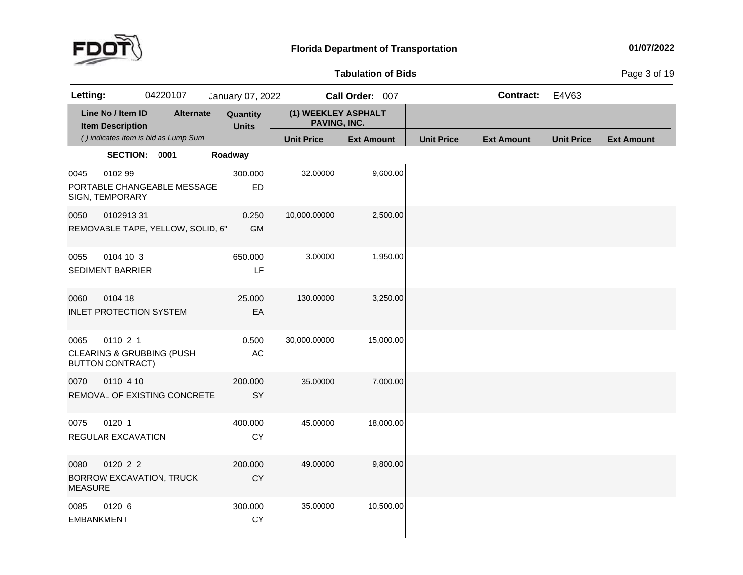

**of Bids** Page <sup>3</sup> of <sup>19</sup>

| Letting:                  |                                              | 04220107                             | January 07, 2022         |                                     | Call Order: 007   |                   | <b>Contract:</b>  | E4V63             |                   |
|---------------------------|----------------------------------------------|--------------------------------------|--------------------------|-------------------------------------|-------------------|-------------------|-------------------|-------------------|-------------------|
|                           | Line No / Item ID<br><b>Item Description</b> | <b>Alternate</b>                     | Quantity<br><b>Units</b> | (1) WEEKLEY ASPHALT<br>PAVING, INC. |                   |                   |                   |                   |                   |
|                           |                                              | () indicates item is bid as Lump Sum |                          | <b>Unit Price</b>                   | <b>Ext Amount</b> | <b>Unit Price</b> | <b>Ext Amount</b> | <b>Unit Price</b> | <b>Ext Amount</b> |
|                           | SECTION: 0001                                |                                      | Roadway                  |                                     |                   |                   |                   |                   |                   |
| 0045                      | 0102 99<br>SIGN, TEMPORARY                   | PORTABLE CHANGEABLE MESSAGE          | 300.000<br>ED            | 32.00000                            | 9,600.00          |                   |                   |                   |                   |
| 0050                      | 010291331                                    | REMOVABLE TAPE, YELLOW, SOLID, 6"    | 0.250<br><b>GM</b>       | 10,000.00000                        | 2,500.00          |                   |                   |                   |                   |
| 0055                      | 0104 10 3<br><b>SEDIMENT BARRIER</b>         |                                      | 650.000<br>LF            | 3.00000                             | 1,950.00          |                   |                   |                   |                   |
| 0060                      | 0104 18                                      | <b>INLET PROTECTION SYSTEM</b>       | 25.000<br>EA             | 130.00000                           | 3,250.00          |                   |                   |                   |                   |
| 0065                      | 0110 2 1<br><b>BUTTON CONTRACT)</b>          | <b>CLEARING &amp; GRUBBING (PUSH</b> | 0.500<br>AC              | 30,000.00000                        | 15,000.00         |                   |                   |                   |                   |
| 0070                      | 0110 4 10                                    | REMOVAL OF EXISTING CONCRETE         | 200.000<br>SY            | 35.00000                            | 7,000.00          |                   |                   |                   |                   |
| 0075                      | 0120 1<br>REGULAR EXCAVATION                 |                                      | 400.000<br><b>CY</b>     | 45.00000                            | 18,000.00         |                   |                   |                   |                   |
| 0080<br><b>MEASURE</b>    | 0120 2 2                                     | BORROW EXCAVATION, TRUCK             | 200.000<br>CY            | 49.00000                            | 9,800.00          |                   |                   |                   |                   |
| 0085<br><b>EMBANKMENT</b> | 0120 6                                       |                                      | 300.000<br>CY            | 35.00000                            | 10,500.00         |                   |                   |                   |                   |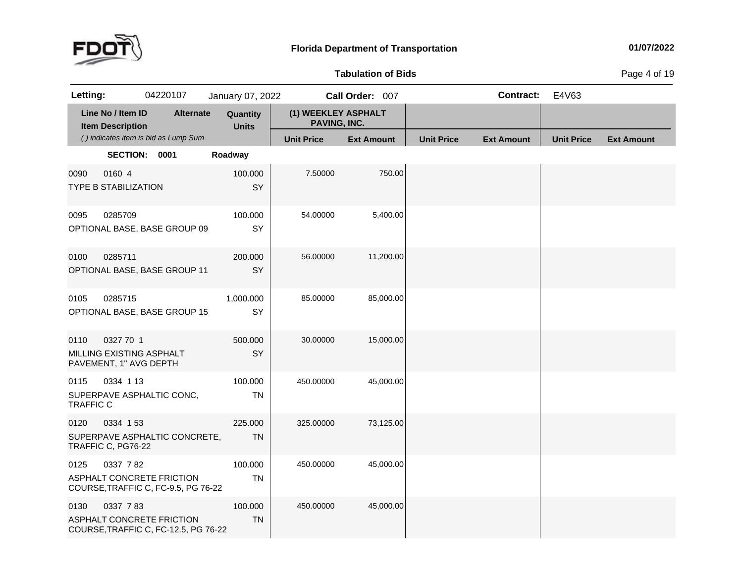

**of Bids** Page <sup>4</sup> of <sup>19</sup>

| Letting:                                                                        |                                              | 04220107 |                                      | January 07, 2022         |                                     | Call Order: 007   |           |                   | <b>Contract:</b>  | E4V63             |                   |
|---------------------------------------------------------------------------------|----------------------------------------------|----------|--------------------------------------|--------------------------|-------------------------------------|-------------------|-----------|-------------------|-------------------|-------------------|-------------------|
|                                                                                 | Line No / Item ID<br><b>Item Description</b> |          | <b>Alternate</b>                     | Quantity<br><b>Units</b> | (1) WEEKLEY ASPHALT<br>PAVING, INC. |                   |           |                   |                   |                   |                   |
|                                                                                 |                                              |          | () indicates item is bid as Lump Sum |                          | <b>Unit Price</b>                   | <b>Ext Amount</b> |           | <b>Unit Price</b> | <b>Ext Amount</b> | <b>Unit Price</b> | <b>Ext Amount</b> |
|                                                                                 | SECTION: 0001                                |          |                                      | Roadway                  |                                     |                   |           |                   |                   |                   |                   |
| 0090<br><b>TYPE B STABILIZATION</b>                                             | 0160 4                                       |          |                                      | 100.000<br>SY            | 7.50000                             |                   | 750.00    |                   |                   |                   |                   |
| 0095<br>OPTIONAL BASE, BASE GROUP 09                                            | 0285709                                      |          |                                      | 100.000<br>SY            | 54.00000                            |                   | 5,400.00  |                   |                   |                   |                   |
| 0100<br>OPTIONAL BASE, BASE GROUP 11                                            | 0285711                                      |          |                                      | 200.000<br>SY            | 56.00000                            |                   | 11,200.00 |                   |                   |                   |                   |
| 0105<br>OPTIONAL BASE, BASE GROUP 15                                            | 0285715                                      |          |                                      | 1,000.000<br>SY          | 85.00000                            |                   | 85,000.00 |                   |                   |                   |                   |
| 0110<br>MILLING EXISTING ASPHALT<br>PAVEMENT, 1" AVG DEPTH                      | 0327 70 1                                    |          |                                      | 500.000<br>SY            | 30.00000                            |                   | 15,000.00 |                   |                   |                   |                   |
| 0115<br>SUPERPAVE ASPHALTIC CONC,<br><b>TRAFFIC C</b>                           | 0334 1 13                                    |          |                                      | 100.000<br><b>TN</b>     | 450.00000                           |                   | 45,000.00 |                   |                   |                   |                   |
| 0120<br>SUPERPAVE ASPHALTIC CONCRETE,<br>TRAFFIC C, PG76-22                     | 0334 153                                     |          |                                      | 225.000<br><b>TN</b>     | 325.00000                           |                   | 73,125.00 |                   |                   |                   |                   |
| 0125<br><b>ASPHALT CONCRETE FRICTION</b><br>COURSE, TRAFFIC C, FC-9.5, PG 76-22 | 0337 782                                     |          |                                      | 100.000<br><b>TN</b>     | 450.00000                           |                   | 45,000.00 |                   |                   |                   |                   |
| 0130<br>ASPHALT CONCRETE FRICTION<br>COURSE, TRAFFIC C, FC-12.5, PG 76-22       | 0337 783                                     |          |                                      | 100.000<br><b>TN</b>     | 450.00000                           |                   | 45,000.00 |                   |                   |                   |                   |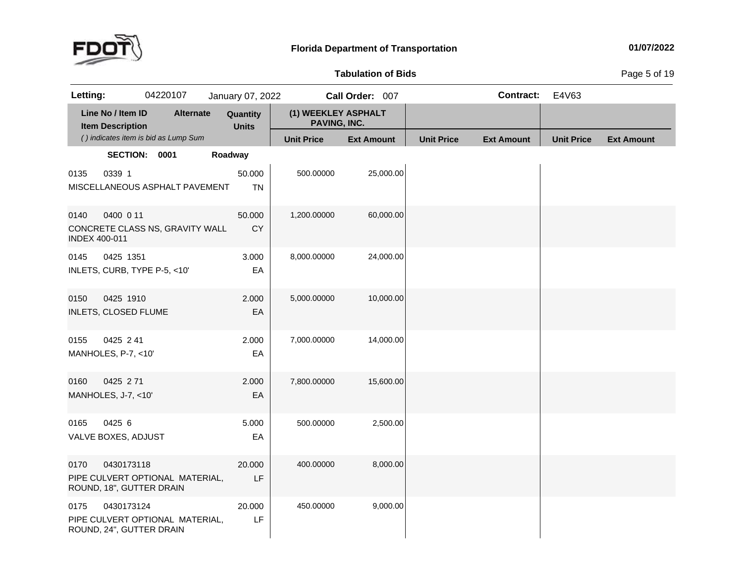

# **Tabulation**

**of Bids** Page <sup>5</sup> of <sup>19</sup>

| Letting:                     |                                              | 04220107                             | January 07, 2022         |                                     | Call Order: 007   |                   | <b>Contract:</b>  | E4V63             |                   |
|------------------------------|----------------------------------------------|--------------------------------------|--------------------------|-------------------------------------|-------------------|-------------------|-------------------|-------------------|-------------------|
|                              | Line No / Item ID<br><b>Item Description</b> | <b>Alternate</b>                     | Quantity<br><b>Units</b> | (1) WEEKLEY ASPHALT<br>PAVING, INC. |                   |                   |                   |                   |                   |
|                              |                                              | () indicates item is bid as Lump Sum |                          | <b>Unit Price</b>                   | <b>Ext Amount</b> | <b>Unit Price</b> | <b>Ext Amount</b> | <b>Unit Price</b> | <b>Ext Amount</b> |
|                              | SECTION: 0001                                |                                      | Roadway                  |                                     |                   |                   |                   |                   |                   |
| 0135                         | 0339 1                                       | MISCELLANEOUS ASPHALT PAVEMENT       | 50.000<br><b>TN</b>      | 500.00000                           | 25,000.00         |                   |                   |                   |                   |
| 0140<br><b>INDEX 400-011</b> | 0400 0 11                                    | CONCRETE CLASS NS, GRAVITY WALL      | 50.000<br>CY             | 1,200.00000                         | 60,000.00         |                   |                   |                   |                   |
| 0145                         | 0425 1351                                    | INLETS, CURB, TYPE P-5, <10'         | 3.000<br>EA              | 8,000.00000                         | 24,000.00         |                   |                   |                   |                   |
| 0150                         | 0425 1910<br><b>INLETS, CLOSED FLUME</b>     |                                      | 2.000<br>EA              | 5,000.00000                         | 10,000.00         |                   |                   |                   |                   |
| 0155                         | 0425 241<br>MANHOLES, P-7, <10'              |                                      | 2.000<br>EA              | 7,000.00000                         | 14,000.00         |                   |                   |                   |                   |
| 0160                         | 0425 271<br>MANHOLES, J-7, <10'              |                                      | 2.000<br>EA              | 7,800.00000                         | 15,600.00         |                   |                   |                   |                   |
| 0165                         | 0425 6<br>VALVE BOXES, ADJUST                |                                      | 5.000<br>EA              | 500.00000                           | 2,500.00          |                   |                   |                   |                   |
| 0170                         | 0430173118<br>ROUND, 18", GUTTER DRAIN       | PIPE CULVERT OPTIONAL MATERIAL,      | 20.000<br>LF             | 400.00000                           | 8,000.00          |                   |                   |                   |                   |
| 0175                         | 0430173124<br>ROUND, 24", GUTTER DRAIN       | PIPE CULVERT OPTIONAL MATERIAL,      | 20,000<br>LF             | 450.00000                           | 9,000.00          |                   |                   |                   |                   |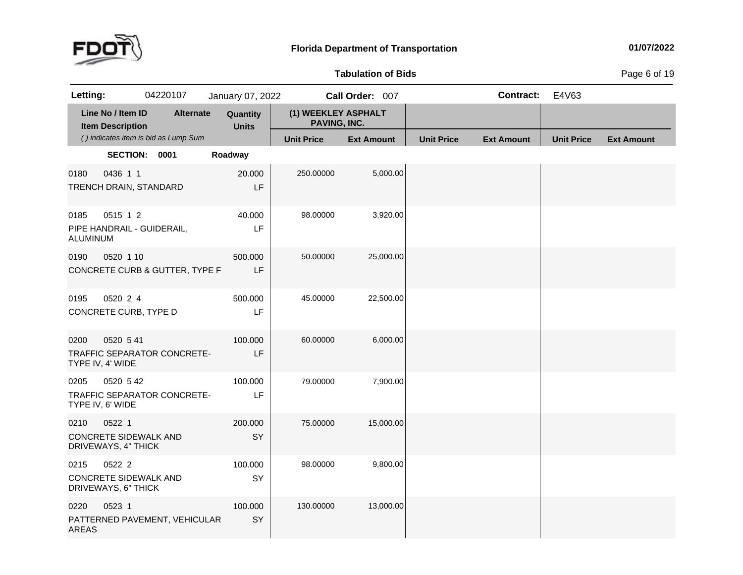

**of Bids** Page <sup>6</sup> of <sup>19</sup>

| Letting:             |                                                               | 04220107                             | January 07, 2022         |                                     | Call Order: 007   |                   | <b>Contract:</b>  | E4V63             |                   |
|----------------------|---------------------------------------------------------------|--------------------------------------|--------------------------|-------------------------------------|-------------------|-------------------|-------------------|-------------------|-------------------|
|                      | Line No / Item ID<br><b>Item Description</b>                  | <b>Alternate</b>                     | Quantity<br><b>Units</b> | (1) WEEKLEY ASPHALT<br>PAVING, INC. |                   |                   |                   |                   |                   |
|                      |                                                               | () indicates item is bid as Lump Sum |                          | <b>Unit Price</b>                   | <b>Ext Amount</b> | <b>Unit Price</b> | <b>Ext Amount</b> | <b>Unit Price</b> | <b>Ext Amount</b> |
|                      | SECTION: 0001                                                 |                                      | Roadway                  |                                     |                   |                   |                   |                   |                   |
| 0180                 | 0436 1 1<br>TRENCH DRAIN, STANDARD                            |                                      | 20.000<br>LF             | 250.00000                           | 5,000.00          |                   |                   |                   |                   |
| 0185<br>ALUMINUM     | 0515 1 2                                                      | PIPE HANDRAIL - GUIDERAIL,           | 40.000<br>LF             | 98.00000                            | 3,920.00          |                   |                   |                   |                   |
| 0190                 | 0520 1 10                                                     | CONCRETE CURB & GUTTER, TYPE F       | 500,000<br>LF            | 50.00000                            | 25,000.00         |                   |                   |                   |                   |
| 0195                 | 0520 2 4<br>CONCRETE CURB, TYPE D                             |                                      | 500.000<br>LF            | 45.00000                            | 22,500.00         |                   |                   |                   |                   |
| 0200                 | 0520 5 41<br>TYPE IV, 4' WIDE                                 | TRAFFIC SEPARATOR CONCRETE-          | 100.000<br>LF            | 60.00000                            | 6,000.00          |                   |                   |                   |                   |
| 0205                 | 0520 5 42<br>TYPE IV, 6' WIDE                                 | TRAFFIC SEPARATOR CONCRETE-          | 100.000<br>LF            | 79.00000                            | 7,900.00          |                   |                   |                   |                   |
| 0210                 | 0522 1<br><b>CONCRETE SIDEWALK AND</b><br>DRIVEWAYS, 4" THICK |                                      | 200.000<br>SY            | 75.00000                            | 15,000.00         |                   |                   |                   |                   |
| 0215                 | 0522 2<br><b>CONCRETE SIDEWALK AND</b><br>DRIVEWAYS, 6" THICK |                                      | 100.000<br>SY            | 98.00000                            | 9,800.00          |                   |                   |                   |                   |
| 0220<br><b>AREAS</b> | 0523 1                                                        | PATTERNED PAVEMENT, VEHICULAR        | 100.000<br>SY            | 130.00000                           | 13,000.00         |                   |                   |                   |                   |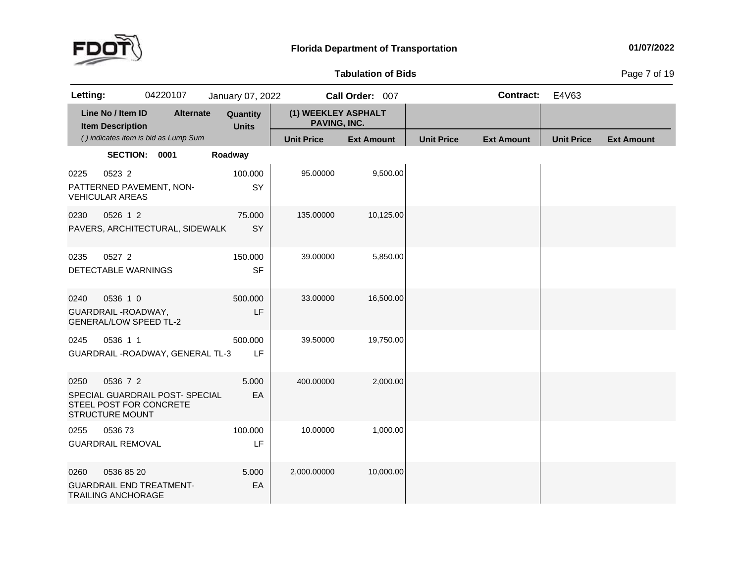

**of Bids** Page <sup>7</sup> of <sup>19</sup>

| Letting:                       |                                                                   | 04220107                             | January 07, 2022         |                                     | Call Order: 007   |                   | Contract:         | E4V63             |                   |
|--------------------------------|-------------------------------------------------------------------|--------------------------------------|--------------------------|-------------------------------------|-------------------|-------------------|-------------------|-------------------|-------------------|
|                                | Line No / Item ID<br><b>Item Description</b>                      | <b>Alternate</b>                     | Quantity<br><b>Units</b> | (1) WEEKLEY ASPHALT<br>PAVING, INC. |                   |                   |                   |                   |                   |
|                                |                                                                   | () indicates item is bid as Lump Sum |                          | <b>Unit Price</b>                   | <b>Ext Amount</b> | <b>Unit Price</b> | <b>Ext Amount</b> | <b>Unit Price</b> | <b>Ext Amount</b> |
|                                | SECTION: 0001                                                     |                                      | Roadway                  |                                     |                   |                   |                   |                   |                   |
| 0225<br><b>VEHICULAR AREAS</b> | 0523 2                                                            | PATTERNED PAVEMENT, NON-             | 100.000<br>SY            | 95.00000                            | 9,500.00          |                   |                   |                   |                   |
| 0230                           | 0526 1 2                                                          | PAVERS, ARCHITECTURAL, SIDEWALK      | 75.000<br>SY             | 135.00000                           | 10,125.00         |                   |                   |                   |                   |
| 0235                           | 0527 2<br>DETECTABLE WARNINGS                                     |                                      | 150.000<br><b>SF</b>     | 39.00000                            | 5,850.00          |                   |                   |                   |                   |
| 0240                           | 0536 1 0<br>GUARDRAIL - ROADWAY,<br><b>GENERAL/LOW SPEED TL-2</b> |                                      | 500,000<br>LF            | 33.00000                            | 16,500.00         |                   |                   |                   |                   |
| 0245                           | 0536 1 1                                                          | GUARDRAIL - ROADWAY, GENERAL TL-3    | 500.000<br>LF            | 39.50000                            | 19,750.00         |                   |                   |                   |                   |
| 0250                           | 0536 7 2<br>STEEL POST FOR CONCRETE<br><b>STRUCTURE MOUNT</b>     | SPECIAL GUARDRAIL POST- SPECIAL      | 5.000<br>EA              | 400.00000                           | 2,000.00          |                   |                   |                   |                   |
| 0255                           | 053673<br><b>GUARDRAIL REMOVAL</b>                                |                                      | 100.000<br>LF            | 10.00000                            | 1,000.00          |                   |                   |                   |                   |
| 0260                           | 0536 85 20<br><b>TRAILING ANCHORAGE</b>                           | <b>GUARDRAIL END TREATMENT-</b>      | 5.000<br>EA              | 2,000.00000                         | 10,000.00         |                   |                   |                   |                   |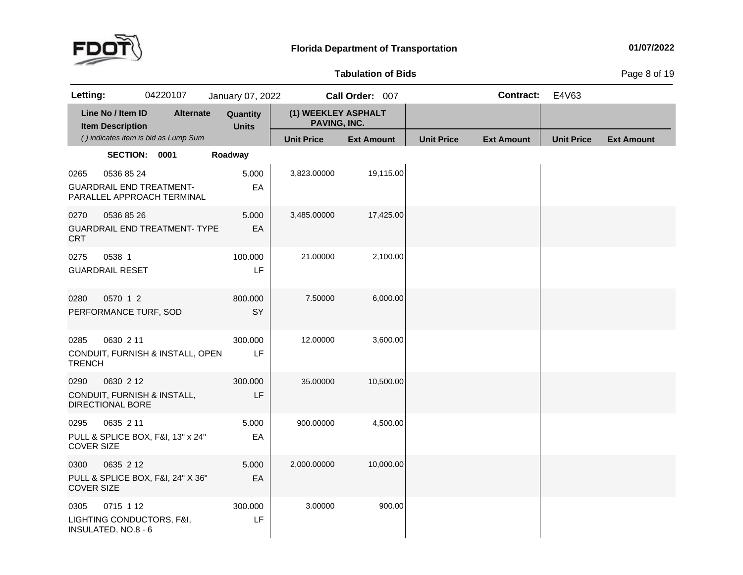

**of Bids** Page <sup>8</sup> of <sup>19</sup>

| Letting:                  |                                              | 04220107                                                      | January 07, 2022         |                                     | Call Order: 007   |                   | Contract:         | E4V63             |                   |
|---------------------------|----------------------------------------------|---------------------------------------------------------------|--------------------------|-------------------------------------|-------------------|-------------------|-------------------|-------------------|-------------------|
|                           | Line No / Item ID<br><b>Item Description</b> | <b>Alternate</b>                                              | Quantity<br><b>Units</b> | (1) WEEKLEY ASPHALT<br>PAVING, INC. |                   |                   |                   |                   |                   |
|                           |                                              | () indicates item is bid as Lump Sum                          |                          | <b>Unit Price</b>                   | <b>Ext Amount</b> | <b>Unit Price</b> | <b>Ext Amount</b> | <b>Unit Price</b> | <b>Ext Amount</b> |
|                           | SECTION: 0001                                |                                                               | Roadway                  |                                     |                   |                   |                   |                   |                   |
| 0265                      | 0536 85 24                                   | <b>GUARDRAIL END TREATMENT-</b><br>PARALLEL APPROACH TERMINAL | 5.000<br>EA              | 3,823.00000                         | 19,115.00         |                   |                   |                   |                   |
| 0270<br>CRT               | 0536 85 26                                   | <b>GUARDRAIL END TREATMENT- TYPE</b>                          | 5.000<br>EA              | 3,485.00000                         | 17,425.00         |                   |                   |                   |                   |
| 0275                      | 0538 1<br><b>GUARDRAIL RESET</b>             |                                                               | 100.000<br>LF            | 21.00000                            | 2,100.00          |                   |                   |                   |                   |
| 0280                      | 0570 1 2<br>PERFORMANCE TURF, SOD            |                                                               | 800.000<br>SY            | 7.50000                             | 6,000.00          |                   |                   |                   |                   |
| 0285<br><b>TRENCH</b>     | 0630 2 11                                    | CONDUIT, FURNISH & INSTALL, OPEN                              | 300.000<br>LF            | 12.00000                            | 3,600.00          |                   |                   |                   |                   |
| 0290                      | 0630 2 12<br>DIRECTIONAL BORE                | CONDUIT, FURNISH & INSTALL,                                   | 300.000<br>LF            | 35.00000                            | 10,500.00         |                   |                   |                   |                   |
| 0295<br><b>COVER SIZE</b> | 0635 2 11                                    | PULL & SPLICE BOX, F&I, 13" x 24"                             | 5.000<br>EA              | 900.00000                           | 4,500.00          |                   |                   |                   |                   |
| 0300<br><b>COVER SIZE</b> | 0635 2 12                                    | PULL & SPLICE BOX, F&I, 24" X 36"                             | 5.000<br>EA              | 2,000.00000                         | 10,000.00         |                   |                   |                   |                   |
| 0305                      | 0715 1 12<br>INSULATED, NO.8 - 6             | LIGHTING CONDUCTORS, F&I,                                     | 300.000<br>LF            | 3.00000                             | 900.00            |                   |                   |                   |                   |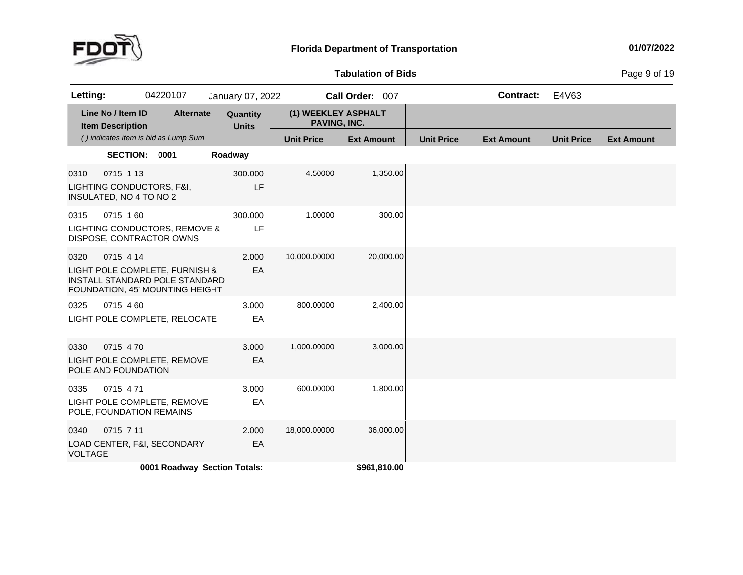

#### **01/07/2022**

**of Bids** Page <sup>9</sup> of <sup>19</sup>

| 04220107<br>Letting:                                                                                                     | January 07, 2022         |                                            | Call Order: 007   |                   | <b>Contract:</b>  | E4V63             |                   |
|--------------------------------------------------------------------------------------------------------------------------|--------------------------|--------------------------------------------|-------------------|-------------------|-------------------|-------------------|-------------------|
| Line No / Item ID<br><b>Alternate</b><br><b>Item Description</b>                                                         | Quantity<br><b>Units</b> | (1) WEEKLEY ASPHALT<br><b>PAVING, INC.</b> |                   |                   |                   |                   |                   |
| () indicates item is bid as Lump Sum                                                                                     |                          | <b>Unit Price</b>                          | <b>Ext Amount</b> | <b>Unit Price</b> | <b>Ext Amount</b> | <b>Unit Price</b> | <b>Ext Amount</b> |
| SECTION: 0001                                                                                                            | Roadway                  |                                            |                   |                   |                   |                   |                   |
| 0715 1 13<br>0310<br>LIGHTING CONDUCTORS, F&I,<br>INSULATED, NO 4 TO NO 2                                                | 300.000<br>LF            | 4.50000                                    | 1,350.00          |                   |                   |                   |                   |
| 0715 160<br>0315<br>LIGHTING CONDUCTORS, REMOVE &<br>DISPOSE, CONTRACTOR OWNS                                            | 300.000<br>LF            | 1.00000                                    | 300.00            |                   |                   |                   |                   |
| 0715 4 14<br>0320<br>LIGHT POLE COMPLETE, FURNISH &<br>INSTALL STANDARD POLE STANDARD<br>FOUNDATION, 45' MOUNTING HEIGHT | 2.000<br>EA              | 10,000.00000                               | 20,000.00         |                   |                   |                   |                   |
| 0715 4 60<br>0325<br>LIGHT POLE COMPLETE, RELOCATE                                                                       | 3.000<br>EA              | 800.00000                                  | 2,400.00          |                   |                   |                   |                   |
| 0715 470<br>0330<br>LIGHT POLE COMPLETE, REMOVE<br>POLE AND FOUNDATION                                                   | 3.000<br>EA              | 1,000.00000                                | 3,000.00          |                   |                   |                   |                   |
| 0715 471<br>0335<br>LIGHT POLE COMPLETE, REMOVE<br>POLE, FOUNDATION REMAINS                                              | 3.000<br>EA              | 600.00000                                  | 1,800.00          |                   |                   |                   |                   |
| 0715 7 11<br>0340<br>LOAD CENTER, F&I, SECONDARY<br><b>VOLTAGE</b>                                                       | 2.000<br>EA              | 18,000.00000                               | 36,000.00         |                   |                   |                   |                   |
| 0001 Roadway Section Totals:                                                                                             |                          |                                            | \$961,810.00      |                   |                   |                   |                   |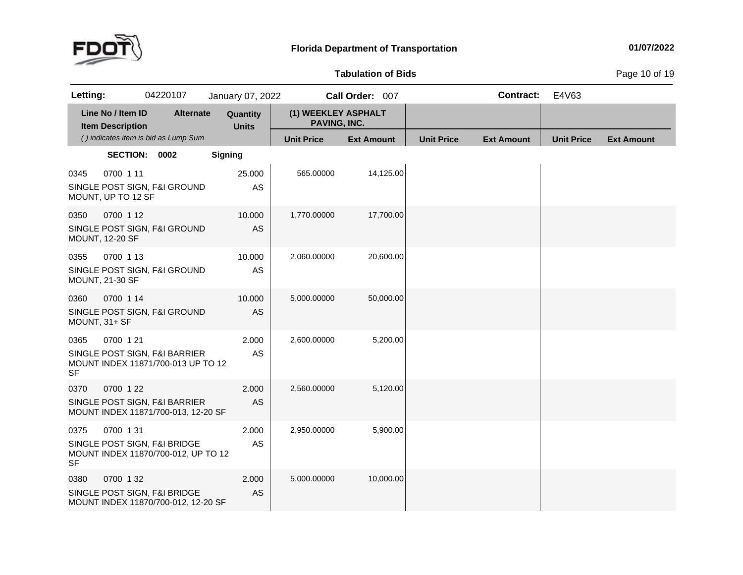

### **Tabulation**

**of Bids** Page <sup>10</sup> of <sup>19</sup>

| Letting:              |                                              | 04220107                                                             | January 07, 2022         |                                     | Call Order: 007   |                   | <b>Contract:</b>  | E4V63             |                   |
|-----------------------|----------------------------------------------|----------------------------------------------------------------------|--------------------------|-------------------------------------|-------------------|-------------------|-------------------|-------------------|-------------------|
|                       | Line No / Item ID<br><b>Item Description</b> | <b>Alternate</b>                                                     | Quantity<br><b>Units</b> | (1) WEEKLEY ASPHALT<br>PAVING, INC. |                   |                   |                   |                   |                   |
|                       |                                              | () indicates item is bid as Lump Sum                                 |                          | <b>Unit Price</b>                   | <b>Ext Amount</b> | <b>Unit Price</b> | <b>Ext Amount</b> | <b>Unit Price</b> | <b>Ext Amount</b> |
|                       | SECTION: 0002                                |                                                                      | <b>Signing</b>           |                                     |                   |                   |                   |                   |                   |
| 0345                  | 0700 1 11<br>MOUNT, UP TO 12 SF              | SINGLE POST SIGN, F&I GROUND                                         | 25.000<br>AS             | 565.00000                           | 14,125.00         |                   |                   |                   |                   |
| 0350                  | 0700 1 12<br><b>MOUNT, 12-20 SF</b>          | SINGLE POST SIGN, F&I GROUND                                         | 10.000<br><b>AS</b>      | 1,770.00000                         | 17,700.00         |                   |                   |                   |                   |
| 0355                  | 0700 1 13<br><b>MOUNT, 21-30 SF</b>          | SINGLE POST SIGN, F&I GROUND                                         | 10.000<br>AS             | 2,060.00000                         | 20,600.00         |                   |                   |                   |                   |
| 0360<br>MOUNT, 31+ SF | 0700 1 14                                    | SINGLE POST SIGN, F&I GROUND                                         | 10.000<br>AS             | 5,000.00000                         | 50,000.00         |                   |                   |                   |                   |
| 0365<br><b>SF</b>     | 0700 1 21                                    | SINGLE POST SIGN, F&I BARRIER<br>MOUNT INDEX 11871/700-013 UP TO 12  | 2.000<br>AS              | 2,600.00000                         | 5,200.00          |                   |                   |                   |                   |
| 0370                  | 0700 1 22                                    | SINGLE POST SIGN, F&I BARRIER<br>MOUNT INDEX 11871/700-013, 12-20 SF | 2.000<br><b>AS</b>       | 2,560.00000                         | 5,120.00          |                   |                   |                   |                   |
| 0375<br><b>SF</b>     | 0700 131                                     | SINGLE POST SIGN, F&I BRIDGE<br>MOUNT INDEX 11870/700-012, UP TO 12  | 2.000<br>AS              | 2,950.00000                         | 5,900.00          |                   |                   |                   |                   |
| 0380                  | 0700 132                                     | SINGLE POST SIGN, F&I BRIDGE<br>MOUNT INDEX 11870/700-012, 12-20 SF  | 2.000<br><b>AS</b>       | 5,000.00000                         | 10,000.00         |                   |                   |                   |                   |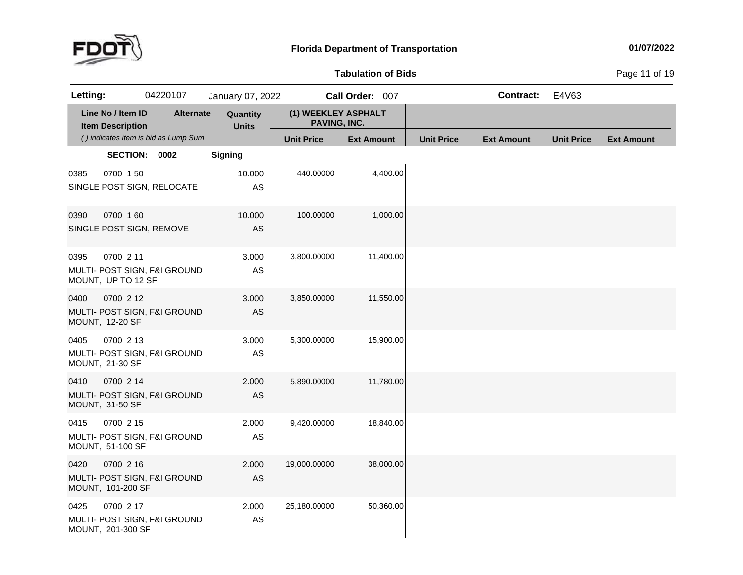

**of Bids** Page <sup>11</sup> of <sup>19</sup>

| Letting: |                                              | 04220107                             | January 07, 2022         |                                     | Call Order: 007   |                   | <b>Contract:</b>  | E4V63             |                   |
|----------|----------------------------------------------|--------------------------------------|--------------------------|-------------------------------------|-------------------|-------------------|-------------------|-------------------|-------------------|
|          | Line No / Item ID<br><b>Item Description</b> | <b>Alternate</b>                     | Quantity<br><b>Units</b> | (1) WEEKLEY ASPHALT<br>PAVING, INC. |                   |                   |                   |                   |                   |
|          |                                              | () indicates item is bid as Lump Sum |                          | <b>Unit Price</b>                   | <b>Ext Amount</b> | <b>Unit Price</b> | <b>Ext Amount</b> | <b>Unit Price</b> | <b>Ext Amount</b> |
|          | SECTION: 0002                                |                                      | <b>Signing</b>           |                                     |                   |                   |                   |                   |                   |
| 0385     | 0700 150                                     | SINGLE POST SIGN, RELOCATE           | 10.000<br>AS             | 440.00000                           | 4,400.00          |                   |                   |                   |                   |
| 0390     | 0700 160<br>SINGLE POST SIGN, REMOVE         |                                      | 10.000<br><b>AS</b>      | 100.00000                           | 1,000.00          |                   |                   |                   |                   |
| 0395     | 0700 2 11<br>MOUNT, UP TO 12 SF              | MULTI- POST SIGN, F&I GROUND         | 3.000<br>AS              | 3,800.00000                         | 11,400.00         |                   |                   |                   |                   |
| 0400     | 0700 2 12<br><b>MOUNT, 12-20 SF</b>          | MULTI- POST SIGN, F&I GROUND         | 3.000<br>AS              | 3,850.00000                         | 11,550.00         |                   |                   |                   |                   |
| 0405     | 0700 2 13<br>MOUNT, 21-30 SF                 | MULTI- POST SIGN, F&I GROUND         | 3.000<br>AS              | 5,300.00000                         | 15,900.00         |                   |                   |                   |                   |
| 0410     | 0700 2 14<br><b>MOUNT, 31-50 SF</b>          | MULTI- POST SIGN, F&I GROUND         | 2.000<br><b>AS</b>       | 5,890.00000                         | 11,780.00         |                   |                   |                   |                   |
| 0415     | 0700 2 15<br>MOUNT, 51-100 SF                | MULTI- POST SIGN, F&I GROUND         | 2.000<br>AS              | 9,420.00000                         | 18,840.00         |                   |                   |                   |                   |
| 0420     | 0700 2 16<br>MOUNT, 101-200 SF               | MULTI- POST SIGN, F&I GROUND         | 2.000<br><b>AS</b>       | 19,000.00000                        | 38,000.00         |                   |                   |                   |                   |
| 0425     | 0700 2 17<br>MOUNT, 201-300 SF               | MULTI- POST SIGN, F&I GROUND         | 2.000<br>AS              | 25,180.00000                        | 50,360.00         |                   |                   |                   |                   |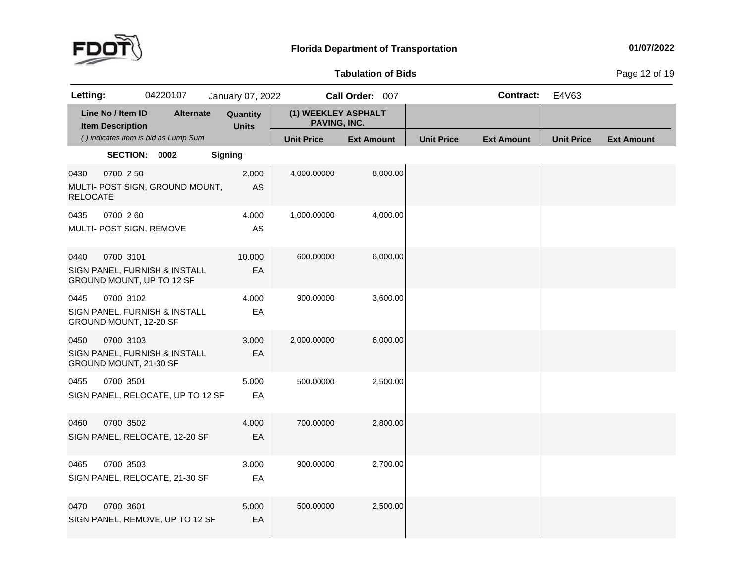

**Tabulation**

**of Bids** Page <sup>12</sup> of <sup>19</sup>

| Letting:                |                                              | 04220107                                                   | January 07, 2022         |                                     | Call Order: 007   |                   | <b>Contract:</b>  | E4V63             |                   |
|-------------------------|----------------------------------------------|------------------------------------------------------------|--------------------------|-------------------------------------|-------------------|-------------------|-------------------|-------------------|-------------------|
|                         | Line No / Item ID<br><b>Item Description</b> | <b>Alternate</b>                                           | Quantity<br><b>Units</b> | (1) WEEKLEY ASPHALT<br>PAVING, INC. |                   |                   |                   |                   |                   |
|                         |                                              | () indicates item is bid as Lump Sum                       |                          | <b>Unit Price</b>                   | <b>Ext Amount</b> | <b>Unit Price</b> | <b>Ext Amount</b> | <b>Unit Price</b> | <b>Ext Amount</b> |
|                         | SECTION: 0002                                |                                                            | <b>Signing</b>           |                                     |                   |                   |                   |                   |                   |
| 0430<br><b>RELOCATE</b> | 0700 2 50                                    | MULTI- POST SIGN, GROUND MOUNT,                            | 2.000<br>AS              | 4,000.00000                         | 8,000.00          |                   |                   |                   |                   |
| 0435                    | 0700 260<br>MULTI- POST SIGN, REMOVE         |                                                            | 4.000<br>AS              | 1,000.00000                         | 4,000.00          |                   |                   |                   |                   |
| 0440                    | 0700 3101                                    | SIGN PANEL, FURNISH & INSTALL<br>GROUND MOUNT, UP TO 12 SF | 10.000<br>EA             | 600.00000                           | 6,000.00          |                   |                   |                   |                   |
| 0445                    | 0700 3102<br>GROUND MOUNT, 12-20 SF          | SIGN PANEL, FURNISH & INSTALL                              | 4.000<br>EA              | 900.00000                           | 3,600.00          |                   |                   |                   |                   |
| 0450                    | 0700 3103<br>GROUND MOUNT, 21-30 SF          | SIGN PANEL, FURNISH & INSTALL                              | 3.000<br>EA              | 2,000.00000                         | 6,000.00          |                   |                   |                   |                   |
| 0455                    | 0700 3501                                    | SIGN PANEL, RELOCATE, UP TO 12 SF                          | 5.000<br>EA              | 500.00000                           | 2,500.00          |                   |                   |                   |                   |
| 0460                    | 0700 3502                                    | SIGN PANEL, RELOCATE, 12-20 SF                             | 4.000<br>EA              | 700.00000                           | 2,800.00          |                   |                   |                   |                   |
| 0465                    | 0700 3503                                    | SIGN PANEL, RELOCATE, 21-30 SF                             | 3.000<br>EA              | 900.00000                           | 2,700.00          |                   |                   |                   |                   |
| 0470                    | 0700 3601                                    | SIGN PANEL, REMOVE, UP TO 12 SF                            | 5.000<br>EA              | 500.00000                           | 2,500.00          |                   |                   |                   |                   |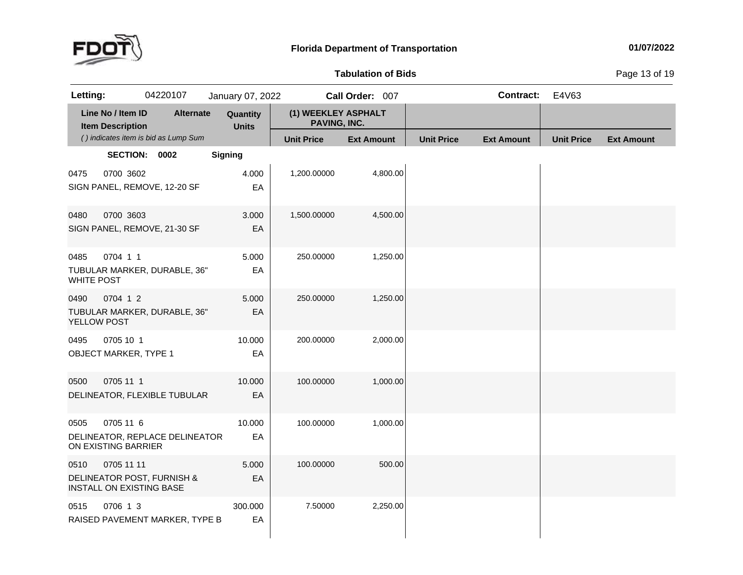

# **Tabulation**

**of Bids** Page <sup>13</sup> of <sup>19</sup>

| Letting:                  |                                               | 04220107                             | January 07, 2022         |                                     | Call Order: 007   |                   | <b>Contract:</b>  | E4V63             |                   |
|---------------------------|-----------------------------------------------|--------------------------------------|--------------------------|-------------------------------------|-------------------|-------------------|-------------------|-------------------|-------------------|
|                           | Line No / Item ID<br><b>Item Description</b>  | <b>Alternate</b>                     | Quantity<br><b>Units</b> | (1) WEEKLEY ASPHALT<br>PAVING, INC. |                   |                   |                   |                   |                   |
|                           |                                               | () indicates item is bid as Lump Sum |                          | <b>Unit Price</b>                   | <b>Ext Amount</b> | <b>Unit Price</b> | <b>Ext Amount</b> | <b>Unit Price</b> | <b>Ext Amount</b> |
|                           | SECTION: 0002                                 |                                      | Signing                  |                                     |                   |                   |                   |                   |                   |
| 0475                      | 0700 3602                                     | SIGN PANEL, REMOVE, 12-20 SF         | 4.000<br>EA              | 1,200.00000                         | 4,800.00          |                   |                   |                   |                   |
| 0480                      | 0700 3603                                     | SIGN PANEL, REMOVE, 21-30 SF         | 3.000<br>EA              | 1,500.00000                         | 4,500.00          |                   |                   |                   |                   |
| 0485<br><b>WHITE POST</b> | 0704 1 1                                      | TUBULAR MARKER, DURABLE, 36"         | 5.000<br>EA              | 250.00000                           | 1,250.00          |                   |                   |                   |                   |
| 0490<br>YELLOW POST       | 0704 1 2                                      | TUBULAR MARKER, DURABLE, 36"         | 5.000<br>EA              | 250.00000                           | 1,250.00          |                   |                   |                   |                   |
| 0495                      | 0705 10 1<br><b>OBJECT MARKER, TYPE 1</b>     |                                      | 10.000<br>EA             | 200.00000                           | 2,000.00          |                   |                   |                   |                   |
| 0500                      | 0705 11 1                                     | DELINEATOR, FLEXIBLE TUBULAR         | 10.000<br>EA             | 100.00000                           | 1,000.00          |                   |                   |                   |                   |
| 0505                      | 0705 11 6<br>ON EXISTING BARRIER              | DELINEATOR, REPLACE DELINEATOR       | 10.000<br>EA             | 100.00000                           | 1,000.00          |                   |                   |                   |                   |
| 0510                      | 0705 11 11<br><b>INSTALL ON EXISTING BASE</b> | DELINEATOR POST, FURNISH &           | 5.000<br>EA              | 100.00000                           | 500.00            |                   |                   |                   |                   |
| 0515                      | 0706 1 3                                      | RAISED PAVEMENT MARKER, TYPE B       | 300.000<br>EA            | 7.50000                             | 2,250.00          |                   |                   |                   |                   |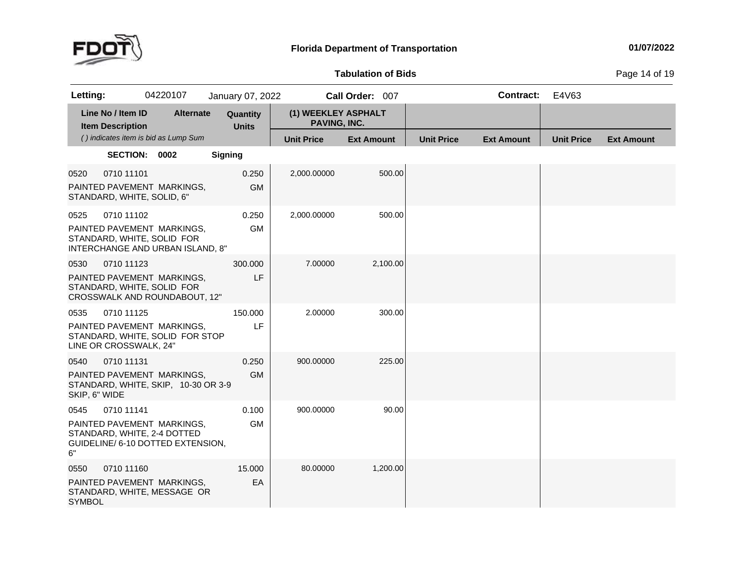

**Tabulation**

**of Bids** Page <sup>14</sup> of <sup>19</sup>

| Letting:              |                                              | 04220107                                                                                       | January 07, 2022         |                                            | Call Order: 007   |                   | <b>Contract:</b>  | E4V63             |                   |
|-----------------------|----------------------------------------------|------------------------------------------------------------------------------------------------|--------------------------|--------------------------------------------|-------------------|-------------------|-------------------|-------------------|-------------------|
|                       | Line No / Item ID<br><b>Item Description</b> | <b>Alternate</b>                                                                               | Quantity<br><b>Units</b> | (1) WEEKLEY ASPHALT<br><b>PAVING, INC.</b> |                   |                   |                   |                   |                   |
|                       |                                              | () indicates item is bid as Lump Sum                                                           |                          | <b>Unit Price</b>                          | <b>Ext Amount</b> | <b>Unit Price</b> | <b>Ext Amount</b> | <b>Unit Price</b> | <b>Ext Amount</b> |
|                       | SECTION: 0002                                |                                                                                                | <b>Signing</b>           |                                            |                   |                   |                   |                   |                   |
| 0520                  | 0710 11101<br>STANDARD, WHITE, SOLID, 6"     | PAINTED PAVEMENT MARKINGS,                                                                     | 0.250<br><b>GM</b>       | 2,000.00000                                | 500.00            |                   |                   |                   |                   |
| 0525                  | 0710 11102                                   | PAINTED PAVEMENT MARKINGS,<br>STANDARD, WHITE, SOLID FOR<br>INTERCHANGE AND URBAN ISLAND, 8"   | 0.250<br><b>GM</b>       | 2,000.00000                                | 500.00            |                   |                   |                   |                   |
| 0530                  | 0710 11123                                   | PAINTED PAVEMENT MARKINGS,<br>STANDARD, WHITE, SOLID FOR<br>CROSSWALK AND ROUNDABOUT, 12"      | 300.000<br>LF            | 7.00000                                    | 2,100.00          |                   |                   |                   |                   |
| 0535                  | 0710 11125<br>LINE OR CROSSWALK, 24"         | PAINTED PAVEMENT MARKINGS,<br>STANDARD, WHITE, SOLID FOR STOP                                  | 150.000<br>LF            | 2.00000                                    | 300.00            |                   |                   |                   |                   |
| 0540<br>SKIP, 6" WIDE | 0710 11131                                   | PAINTED PAVEMENT MARKINGS,<br>STANDARD, WHITE, SKIP, 10-30 OR 3-9                              | 0.250<br><b>GM</b>       | 900.00000                                  | 225.00            |                   |                   |                   |                   |
| 0545<br>6"            | 0710 11141                                   | PAINTED PAVEMENT MARKINGS,<br>STANDARD, WHITE, 2-4 DOTTED<br>GUIDELINE/ 6-10 DOTTED EXTENSION, | 0.100<br><b>GM</b>       | 900.00000                                  | 90.00             |                   |                   |                   |                   |
| 0550<br><b>SYMBOL</b> | 0710 11160                                   | PAINTED PAVEMENT MARKINGS,<br>STANDARD, WHITE, MESSAGE OR                                      | 15.000<br>EA             | 80.00000                                   | 1,200.00          |                   |                   |                   |                   |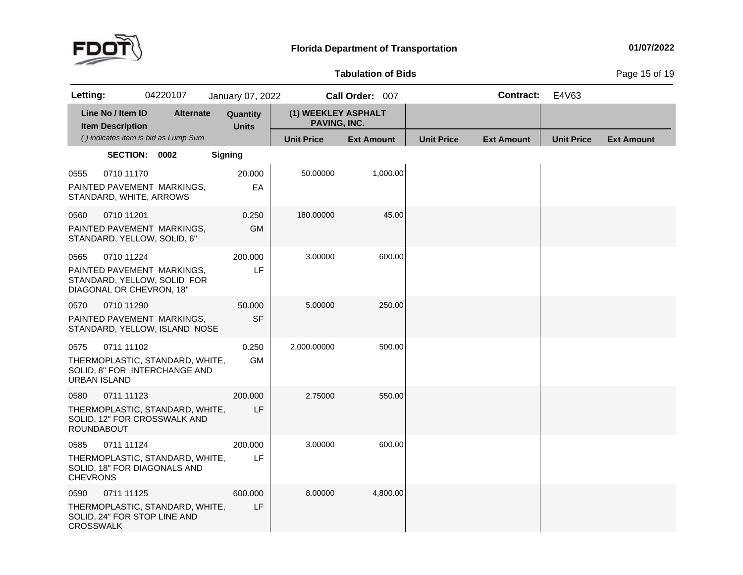

# **Tabulation**

**of Bids** Page <sup>15</sup> of <sup>19</sup>

| Letting:                    |                                              | 04220107                                                                              | January 07, 2022         |                                     | Call Order: 007   |                   | <b>Contract:</b>  | E4V63             |                   |
|-----------------------------|----------------------------------------------|---------------------------------------------------------------------------------------|--------------------------|-------------------------------------|-------------------|-------------------|-------------------|-------------------|-------------------|
|                             | Line No / Item ID<br><b>Item Description</b> | <b>Alternate</b>                                                                      | Quantity<br><b>Units</b> | (1) WEEKLEY ASPHALT<br>PAVING, INC. |                   |                   |                   |                   |                   |
|                             |                                              | () indicates item is bid as Lump Sum                                                  |                          | <b>Unit Price</b>                   | <b>Ext Amount</b> | <b>Unit Price</b> | <b>Ext Amount</b> | <b>Unit Price</b> | <b>Ext Amount</b> |
|                             | SECTION: 0002                                |                                                                                       | <b>Signing</b>           |                                     |                   |                   |                   |                   |                   |
| 0555                        | 0710 11170                                   | PAINTED PAVEMENT MARKINGS,<br>STANDARD, WHITE, ARROWS                                 | 20.000<br>EA             | 50.00000                            | 1,000.00          |                   |                   |                   |                   |
| 0560                        | 0710 11201                                   | PAINTED PAVEMENT MARKINGS,<br>STANDARD, YELLOW, SOLID, 6"                             | 0.250<br><b>GM</b>       | 180.00000                           | 45.00             |                   |                   |                   |                   |
| 0565                        | 0710 11224                                   | PAINTED PAVEMENT MARKINGS,<br>STANDARD, YELLOW, SOLID FOR<br>DIAGONAL OR CHEVRON, 18" | 200.000<br>LF            | 3.00000                             | 600.00            |                   |                   |                   |                   |
| 0570                        | 0710 11290                                   | PAINTED PAVEMENT MARKINGS.<br>STANDARD, YELLOW, ISLAND NOSE                           | 50.000<br><b>SF</b>      | 5.00000                             | 250.00            |                   |                   |                   |                   |
| 0575<br><b>URBAN ISLAND</b> | 0711 11102                                   | THERMOPLASTIC, STANDARD, WHITE,<br>SOLID, 8" FOR INTERCHANGE AND                      | 0.250<br><b>GM</b>       | 2,000.00000                         | 500.00            |                   |                   |                   |                   |
| 0580<br><b>ROUNDABOUT</b>   | 0711 11123                                   | THERMOPLASTIC, STANDARD, WHITE,<br>SOLID, 12" FOR CROSSWALK AND                       | 200.000<br>LF            | 2.75000                             | 550.00            |                   |                   |                   |                   |
| 0585<br><b>CHEVRONS</b>     | 0711 11124                                   | THERMOPLASTIC, STANDARD, WHITE,<br>SOLID, 18" FOR DIAGONALS AND                       | 200.000<br>LF            | 3.00000                             | 600.00            |                   |                   |                   |                   |
| 0590<br><b>CROSSWALK</b>    | 0711 11125                                   | THERMOPLASTIC, STANDARD, WHITE,<br>SOLID, 24" FOR STOP LINE AND                       | 600.000<br>LF            | 8.00000                             | 4,800.00          |                   |                   |                   |                   |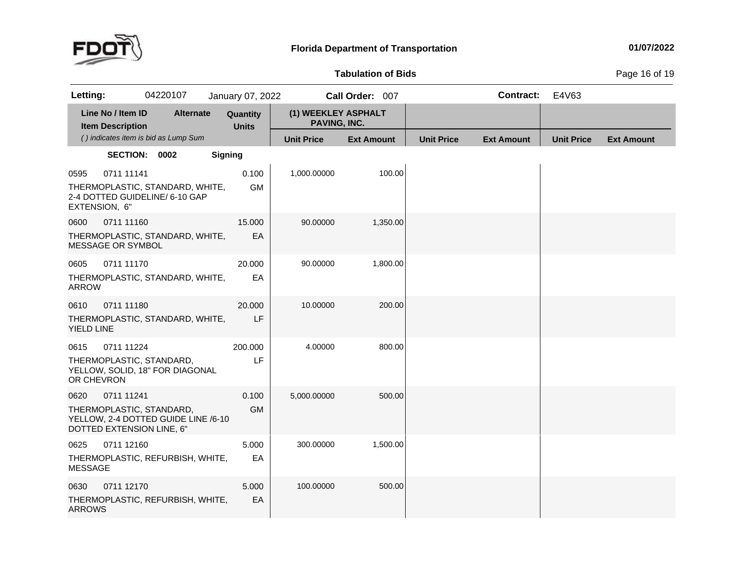

# **Tabulation**

**of Bids** Page <sup>16</sup> of <sup>19</sup>

| Letting:                  |                                              | 04220107                                                          |                | January 07, 2022         |                                     | Call Order: 007   |                   |                   | <b>Contract:</b> | E4V63             |                   |
|---------------------------|----------------------------------------------|-------------------------------------------------------------------|----------------|--------------------------|-------------------------------------|-------------------|-------------------|-------------------|------------------|-------------------|-------------------|
|                           | Line No / Item ID<br><b>Item Description</b> | <b>Alternate</b>                                                  |                | Quantity<br><b>Units</b> | (1) WEEKLEY ASPHALT<br>PAVING, INC. |                   |                   |                   |                  |                   |                   |
|                           |                                              | () indicates item is bid as Lump Sum                              |                |                          | <b>Unit Price</b>                   | <b>Ext Amount</b> | <b>Unit Price</b> | <b>Ext Amount</b> |                  | <b>Unit Price</b> | <b>Ext Amount</b> |
|                           | SECTION: 0002                                |                                                                   | <b>Signing</b> |                          |                                     |                   |                   |                   |                  |                   |                   |
| 0595<br>EXTENSION, 6"     | 0711 11141                                   | THERMOPLASTIC, STANDARD, WHITE,<br>2-4 DOTTED GUIDELINE/ 6-10 GAP |                | 0.100<br><b>GM</b>       | 1,000.00000                         | 100.00            |                   |                   |                  |                   |                   |
| 0600                      | 0711 11160<br>MESSAGE OR SYMBOL              | THERMOPLASTIC, STANDARD, WHITE,                                   |                | 15.000<br>EA             | 90.00000                            | 1,350.00          |                   |                   |                  |                   |                   |
| 0605<br><b>ARROW</b>      | 0711 11170                                   | THERMOPLASTIC, STANDARD, WHITE,                                   |                | 20.000<br>EA             | 90.00000                            | 1,800.00          |                   |                   |                  |                   |                   |
| 0610<br><b>YIELD LINE</b> | 0711 11180                                   | THERMOPLASTIC, STANDARD, WHITE,                                   |                | 20.000<br>LF             | 10.00000                            | 200.00            |                   |                   |                  |                   |                   |
| 0615<br>OR CHEVRON        | 0711 11224                                   | THERMOPLASTIC, STANDARD,<br>YELLOW, SOLID, 18" FOR DIAGONAL       |                | 200.000<br>LF            | 4.00000                             | 800.00            |                   |                   |                  |                   |                   |
| 0620                      | 0711 11241<br>DOTTED EXTENSION LINE, 6"      | THERMOPLASTIC, STANDARD,<br>YELLOW, 2-4 DOTTED GUIDE LINE /6-10   |                | 0.100<br><b>GM</b>       | 5,000.00000                         | 500.00            |                   |                   |                  |                   |                   |
| 0625<br><b>MESSAGE</b>    | 0711 12160                                   | THERMOPLASTIC, REFURBISH, WHITE,                                  |                | 5.000<br>EA              | 300.00000                           | 1,500.00          |                   |                   |                  |                   |                   |
| 0630<br><b>ARROWS</b>     | 0711 12170                                   | THERMOPLASTIC, REFURBISH, WHITE,                                  |                | 5.000<br>EA              | 100.00000                           | 500.00            |                   |                   |                  |                   |                   |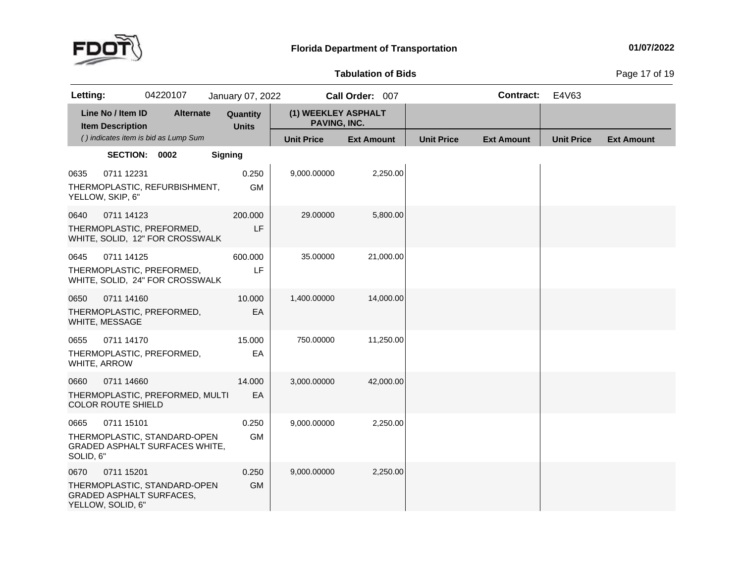

# **Tabulation**

**of Bids** Page <sup>17</sup> of <sup>19</sup>

| Letting:             |                                              | 04220107                                                              |                | January 07, 2022         |                                     | Call Order: 007   |                   | <b>Contract:</b>  | E4V63             |                   |
|----------------------|----------------------------------------------|-----------------------------------------------------------------------|----------------|--------------------------|-------------------------------------|-------------------|-------------------|-------------------|-------------------|-------------------|
|                      | Line No / Item ID<br><b>Item Description</b> | <b>Alternate</b>                                                      |                | Quantity<br><b>Units</b> | (1) WEEKLEY ASPHALT<br>PAVING, INC. |                   |                   |                   |                   |                   |
|                      |                                              | () indicates item is bid as Lump Sum                                  |                |                          | <b>Unit Price</b>                   | <b>Ext Amount</b> | <b>Unit Price</b> | <b>Ext Amount</b> | <b>Unit Price</b> | <b>Ext Amount</b> |
|                      | SECTION: 0002                                |                                                                       | <b>Signing</b> |                          |                                     |                   |                   |                   |                   |                   |
| 0635                 | 0711 12231<br>YELLOW, SKIP, 6"               | THERMOPLASTIC, REFURBISHMENT,                                         |                | 0.250<br><b>GM</b>       | 9,000.00000                         | 2,250.00          |                   |                   |                   |                   |
| 0640                 | 0711 14123                                   | THERMOPLASTIC, PREFORMED,<br>WHITE, SOLID, 12" FOR CROSSWALK          |                | 200.000<br>LF            | 29.00000                            | 5,800.00          |                   |                   |                   |                   |
| 0645                 | 0711 14125                                   | THERMOPLASTIC, PREFORMED,<br>WHITE, SOLID, 24" FOR CROSSWALK          |                | 600.000<br>LF            | 35.00000                            | 21,000.00         |                   |                   |                   |                   |
| 0650                 | 0711 14160<br>WHITE, MESSAGE                 | THERMOPLASTIC, PREFORMED,                                             |                | 10.000<br>EA             | 1,400.00000                         | 14,000.00         |                   |                   |                   |                   |
| 0655<br>WHITE, ARROW | 0711 14170                                   | THERMOPLASTIC, PREFORMED,                                             |                | 15.000<br>EA             | 750.00000                           | 11,250.00         |                   |                   |                   |                   |
| 0660                 | 0711 14660<br><b>COLOR ROUTE SHIELD</b>      | THERMOPLASTIC, PREFORMED, MULTI                                       |                | 14.000<br>EA             | 3,000.00000                         | 42,000.00         |                   |                   |                   |                   |
| 0665<br>SOLID, 6"    | 0711 15101                                   | THERMOPLASTIC, STANDARD-OPEN<br><b>GRADED ASPHALT SURFACES WHITE,</b> |                | 0.250<br><b>GM</b>       | 9,000.00000                         | 2,250.00          |                   |                   |                   |                   |
| 0670                 | 0711 15201<br>YELLOW, SOLID, 6"              | THERMOPLASTIC, STANDARD-OPEN<br><b>GRADED ASPHALT SURFACES,</b>       |                | 0.250<br><b>GM</b>       | 9,000.00000                         | 2,250.00          |                   |                   |                   |                   |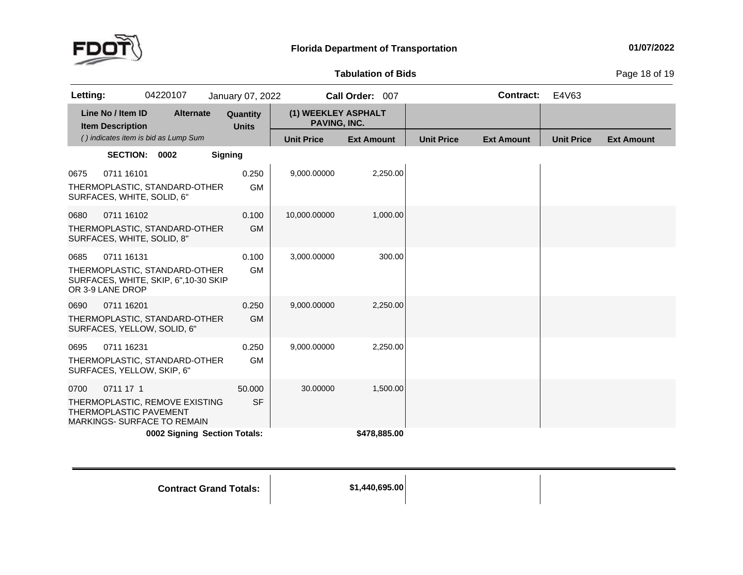

**of Bids** Page <sup>18</sup> of <sup>19</sup>

| Letting: |                                              | 04220107                                                              | January 07, 2022         |                                            | Call Order: 007   |                   | <b>Contract:</b>  | E4V63             |                   |
|----------|----------------------------------------------|-----------------------------------------------------------------------|--------------------------|--------------------------------------------|-------------------|-------------------|-------------------|-------------------|-------------------|
|          | Line No / Item ID<br><b>Item Description</b> | <b>Alternate</b>                                                      | Quantity<br><b>Units</b> | (1) WEEKLEY ASPHALT<br><b>PAVING, INC.</b> |                   |                   |                   |                   |                   |
|          |                                              | () indicates item is bid as Lump Sum                                  |                          | <b>Unit Price</b>                          | <b>Ext Amount</b> | <b>Unit Price</b> | <b>Ext Amount</b> | <b>Unit Price</b> | <b>Ext Amount</b> |
|          | <b>SECTION:</b>                              | 0002                                                                  | <b>Signing</b>           |                                            |                   |                   |                   |                   |                   |
| 0675     | 0711 16101<br>SURFACES, WHITE, SOLID, 6"     | THERMOPLASTIC, STANDARD-OTHER                                         | 0.250<br><b>GM</b>       | 9,000.00000                                | 2,250.00          |                   |                   |                   |                   |
| 0680     | 0711 16102<br>SURFACES, WHITE, SOLID, 8"     | THERMOPLASTIC, STANDARD-OTHER                                         | 0.100<br><b>GM</b>       | 10,000.00000                               | 1,000.00          |                   |                   |                   |                   |
| 0685     | 0711 16131<br>OR 3-9 LANE DROP               | THERMOPLASTIC, STANDARD-OTHER<br>SURFACES, WHITE, SKIP, 6",10-30 SKIP | 0.100<br><b>GM</b>       | 3,000.00000                                | 300.00            |                   |                   |                   |                   |
| 0690     | 0711 16201                                   | THERMOPLASTIC, STANDARD-OTHER<br>SURFACES, YELLOW, SOLID, 6"          | 0.250<br><b>GM</b>       | 9,000.00000                                | 2,250.00          |                   |                   |                   |                   |
| 0695     | 0711 16231<br>SURFACES, YELLOW, SKIP, 6"     | THERMOPLASTIC, STANDARD-OTHER                                         | 0.250<br><b>GM</b>       | 9,000.00000                                | 2,250.00          |                   |                   |                   |                   |
| 0700     | 0711 17 1<br>THERMOPLASTIC PAVEMENT          | THERMOPLASTIC, REMOVE EXISTING<br><b>MARKINGS- SURFACE TO REMAIN</b>  | 50.000<br><b>SF</b>      | 30.00000                                   | 1,500.00          |                   |                   |                   |                   |
|          |                                              | 0002 Signing Section Totals:                                          |                          |                                            | \$478,885.00      |                   |                   |                   |                   |

**Totals: \$1,440,695.00**